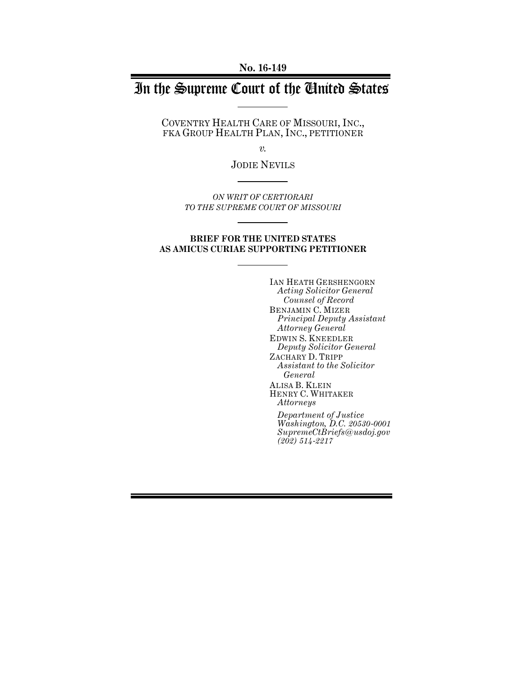**No. 16-149**

# In the Supreme Court of the United States

COVENTRY HEALTH CARE OF MISSOURI, INC., FKA GROUP HEALTH PLAN, INC., PETITIONER

*v.*

JODIE NEVILS

*ON WRIT OF CERTIORARI TO THE SUPREME COURT OF MISSOURI*

#### **BRIEF FOR THE UNITED STATES AS AMICUS CURIAE SUPPORTING PETITIONER**

IAN HEATH GERSHENGORN *Acting Solicitor General Counsel of Record* BENJAMIN C. MIZER *Principal Deputy Assistant Attorney General* EDWIN S. KNEEDLER *Deputy Solicitor General* ZACHARY D. TRIPP *Assistant to the Solicitor General* ALISA B. KLEIN HENRY C. WHITAKER *Attorneys Department of Justice*

*Washington, D.C. 20530-0001 SupremeCtBriefs@usdoj.gov (202) 514-2217*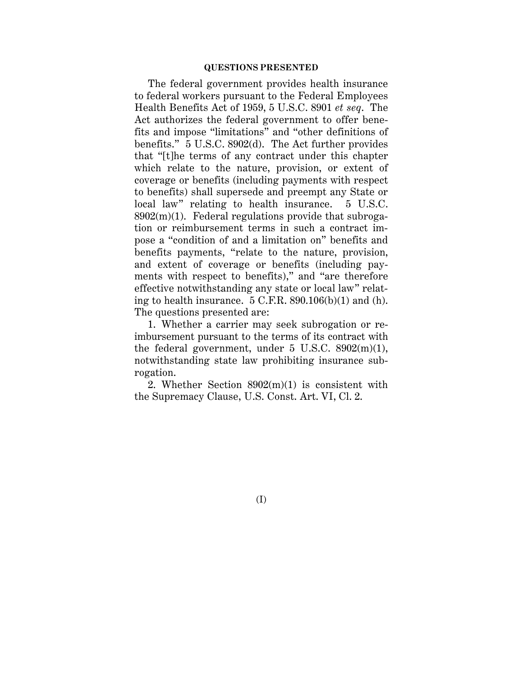#### **QUESTIONS PRESENTED**

The federal government provides health insurance to federal workers pursuant to the Federal Employees Health Benefits Act of 1959, 5 U.S.C. 8901 *et seq*. The Act authorizes the federal government to offer benefits and impose "limitations" and "other definitions of benefits." 5 U.S.C. 8902(d). The Act further provides that "[t]he terms of any contract under this chapter which relate to the nature, provision, or extent of coverage or benefits (including payments with respect to benefits) shall supersede and preempt any State or local law" relating to health insurance. 5 U.S.C.  $8902(m)(1)$ . Federal regulations provide that subrogation or reimbursement terms in such a contract impose a "condition of and a limitation on" benefits and benefits payments, "relate to the nature, provision, and extent of coverage or benefits (including payments with respect to benefits)," and "are therefore effective notwithstanding any state or local law" relating to health insurance.  $5$  C.F.R. 890.106(b)(1) and (h). The questions presented are:

1. Whether a carrier may seek subrogation or reimbursement pursuant to the terms of its contract with the federal government, under  $5 \text{ U.S.C. } 8902(m)(1)$ , notwithstanding state law prohibiting insurance subrogation.

2. Whether Section 8902(m)(1) is consistent with the Supremacy Clause, U.S. Const. Art. VI, Cl. 2.

(I)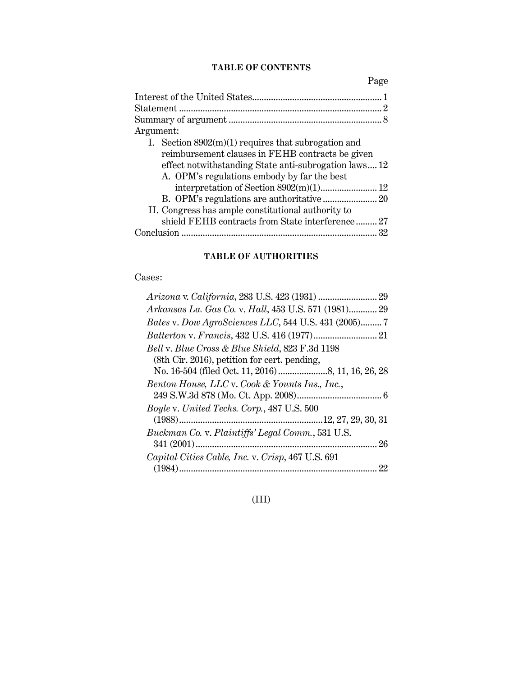## **TABLE OF CONTENTS**

Page

|                                                       | 2   |
|-------------------------------------------------------|-----|
|                                                       |     |
| Argument:                                             |     |
| I. Section $8902(m)(1)$ requires that subrogation and |     |
| reimbursement clauses in FEHB contracts be given      |     |
| effect notwithstanding State anti-subrogation laws 12 |     |
| A. OPM's regulations embody by far the best           |     |
|                                                       |     |
|                                                       |     |
| II. Congress has ample constitutional authority to    |     |
| shield FEHB contracts from State interference         | 27  |
|                                                       | -32 |
|                                                       |     |

## **TABLE OF AUTHORITIES**

## Cases:

## (III)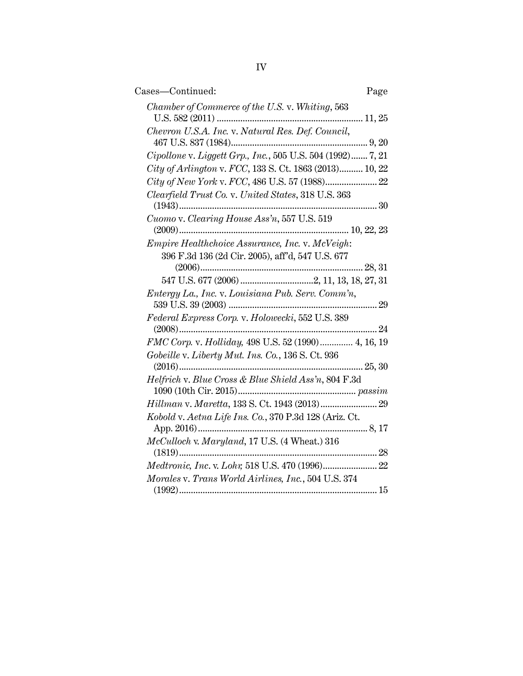| Cases-Continued:                                           | Page |
|------------------------------------------------------------|------|
| Chamber of Commerce of the U.S. v. Whiting, 563            |      |
| Chevron U.S.A. Inc. v. Natural Res. Def. Council,          |      |
| Cipollone v. Liggett Grp., Inc., 505 U.S. 504 (1992) 7, 21 |      |
| City of Arlington v. FCC, 133 S. Ct. 1863 (2013) 10, 22    |      |
|                                                            |      |
| Clearfield Trust Co. v. United States, 318 U.S. 363        |      |
| Cuomo v. Clearing House Ass'n, 557 U.S. 519                |      |
|                                                            |      |
| Empire Healthchoice Assurance, Inc. v. McVeigh:            |      |
| 396 F.3d 136 (2d Cir. 2005), aff'd, 547 U.S. 677           |      |
|                                                            |      |
|                                                            |      |
| Entergy La., Inc. v. Louisiana Pub. Serv. Comm'n,          |      |
| Federal Express Corp. v. Holowecki, 552 U.S. 389           |      |
| FMC Corp. v. Holliday, 498 U.S. 52 (1990) 4, 16, 19        |      |
| Gobeille v. Liberty Mut. Ins. Co., 136 S. Ct. 936          |      |
| Helfrich v. Blue Cross & Blue Shield Ass'n, 804 F.3d       |      |
|                                                            |      |
| Hillman v. Maretta, 133 S. Ct. 1943 (2013) 29              |      |
| Kobold v. Aetna Life Ins. Co., 370 P.3d 128 (Ariz. Ct.     |      |
|                                                            |      |
| McCulloch v. Maryland, 17 U.S. (4 Wheat.) 316              |      |
|                                                            |      |
| Medtronic, Inc. v. Lohr, 518 U.S. 470 (1996) 22            |      |
| Morales v. Trans World Airlines, Inc., 504 U.S. 374        |      |
|                                                            |      |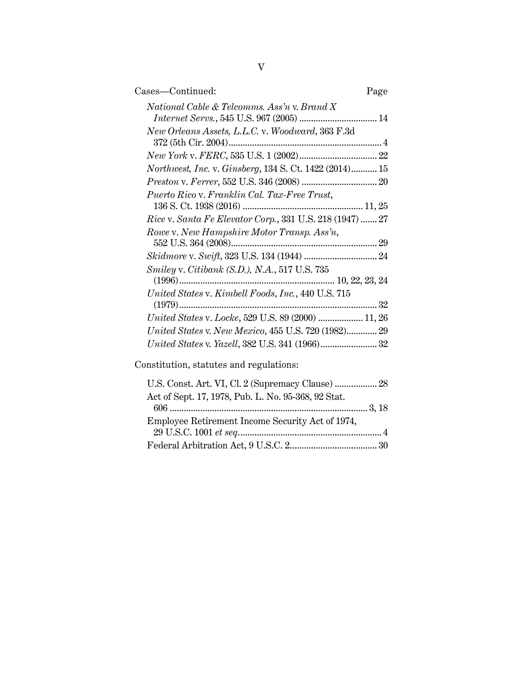| Cases-Continued:                                         | Page |
|----------------------------------------------------------|------|
| National Cable & Telcomms. Ass'n v. Brand X              |      |
|                                                          |      |
| New Orleans Assets, L.L.C. v. Woodward, 363 F.3d         |      |
|                                                          |      |
|                                                          |      |
| Northwest, Inc. v. Ginsberg, 134 S. Ct. 1422 (2014) 15   |      |
|                                                          |      |
| Puerto Rico v. Franklin Cal. Tax-Free Trust,             |      |
|                                                          |      |
| Rice v. Santa Fe Elevator Corp., 331 U.S. 218 (1947)  27 |      |
| Rowe v. New Hampshire Motor Transp. Ass'n,               |      |
|                                                          |      |
|                                                          |      |
| Smiley v. Citibank (S.D.), N.A., 517 U.S. 735            |      |
|                                                          |      |
| United States v. Kimbell Foods, Inc., 440 U.S. 715       |      |
|                                                          |      |
| United States v. Locke, 529 U.S. 89 (2000)  11, 26       |      |
| United States v. New Mexico, 455 U.S. 720 (1982) 29      |      |
|                                                          |      |
|                                                          |      |

## Constitution, statutes and regulations:

| U.S. Const. Art. VI, Cl. 2 (Supremacy Clause)  28   |  |
|-----------------------------------------------------|--|
| Act of Sept. 17, 1978, Pub. L. No. 95-368, 92 Stat. |  |
|                                                     |  |
| Employee Retirement Income Security Act of 1974,    |  |
|                                                     |  |
|                                                     |  |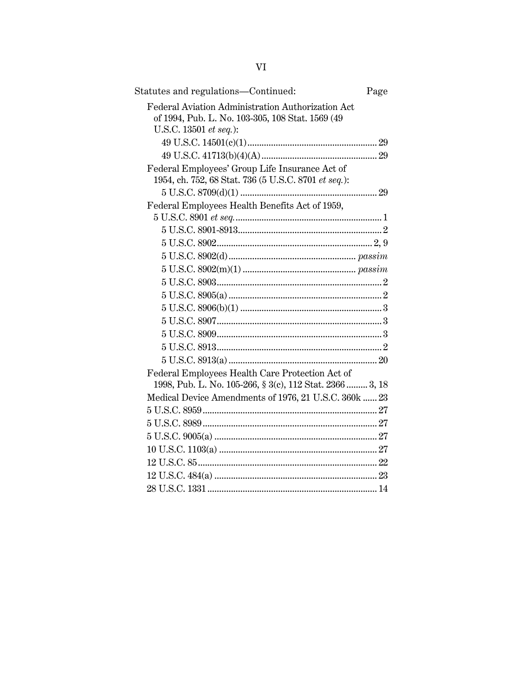| Statutes and regulations-Continued:                                                                                             | Page |
|---------------------------------------------------------------------------------------------------------------------------------|------|
| Federal Aviation Administration Authorization Act<br>of 1994, Pub. L. No. 103-305, 108 Stat. 1569 (49<br>U.S.C. 13501 et seq.): |      |
|                                                                                                                                 |      |
|                                                                                                                                 |      |
| Federal Employees' Group Life Insurance Act of                                                                                  |      |
| 1954, ch. 752, 68 Stat. 736 (5 U.S.C. 8701 et seq.):                                                                            |      |
|                                                                                                                                 |      |
| Federal Employees Health Benefits Act of 1959,                                                                                  |      |
|                                                                                                                                 |      |
|                                                                                                                                 |      |
|                                                                                                                                 |      |
|                                                                                                                                 |      |
|                                                                                                                                 |      |
|                                                                                                                                 |      |
|                                                                                                                                 |      |
|                                                                                                                                 |      |
|                                                                                                                                 |      |
|                                                                                                                                 |      |
|                                                                                                                                 |      |
|                                                                                                                                 |      |
| Federal Employees Health Care Protection Act of                                                                                 |      |
| 1998, Pub. L. No. 105-266, § 3(c), 112 Stat. 2366  3, 18                                                                        |      |
| Medical Device Amendments of 1976, 21 U.S.C. 360k  23                                                                           |      |
|                                                                                                                                 |      |
|                                                                                                                                 |      |
|                                                                                                                                 |      |
|                                                                                                                                 |      |
|                                                                                                                                 |      |
|                                                                                                                                 |      |
|                                                                                                                                 |      |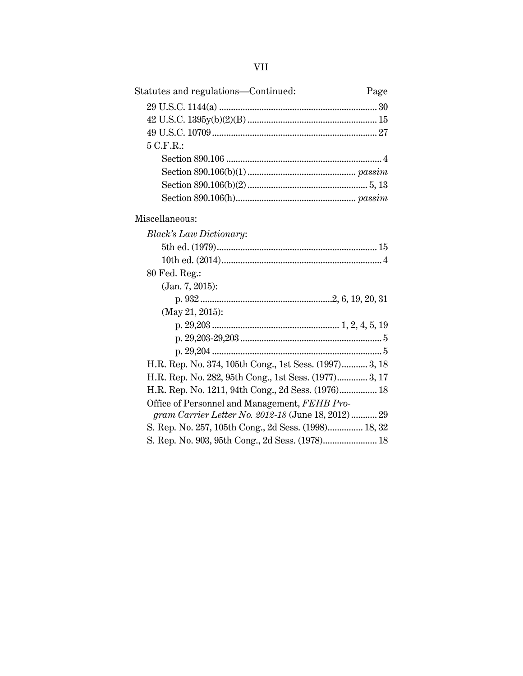| Statutes and regulations-Continued:                                                                 | Page |
|-----------------------------------------------------------------------------------------------------|------|
|                                                                                                     |      |
|                                                                                                     |      |
|                                                                                                     |      |
| 5 C.F.R.                                                                                            |      |
|                                                                                                     |      |
|                                                                                                     |      |
|                                                                                                     |      |
|                                                                                                     |      |
| Miscellaneous:                                                                                      |      |
| <b>Black's Law Dictionary:</b>                                                                      |      |
|                                                                                                     |      |
|                                                                                                     |      |
| 80 Fed. Reg.:                                                                                       |      |
| $(Jan. 7, 2015)$ :                                                                                  |      |
|                                                                                                     |      |
| (May 21, 2015):                                                                                     |      |
|                                                                                                     |      |
|                                                                                                     |      |
|                                                                                                     |      |
| H.R. Rep. No. 374, 105th Cong., 1st Sess. (1997) 3, 18                                              |      |
| H.R. Rep. No. 282, 95th Cong., 1st Sess. (1977) 3, 17                                               |      |
| H.R. Rep. No. 1211, 94th Cong., 2d Sess. (1976) 18                                                  |      |
| Office of Personnel and Management, FEHB Pro-<br>gram Carrier Letter No. 2012-18 (June 18, 2012) 29 |      |
| S. Rep. No. 257, 105th Cong., 2d Sess. (1998) 18, 32                                                |      |
| S. Rep. No. 903, 95th Cong., 2d Sess. (1978) 18                                                     |      |
|                                                                                                     |      |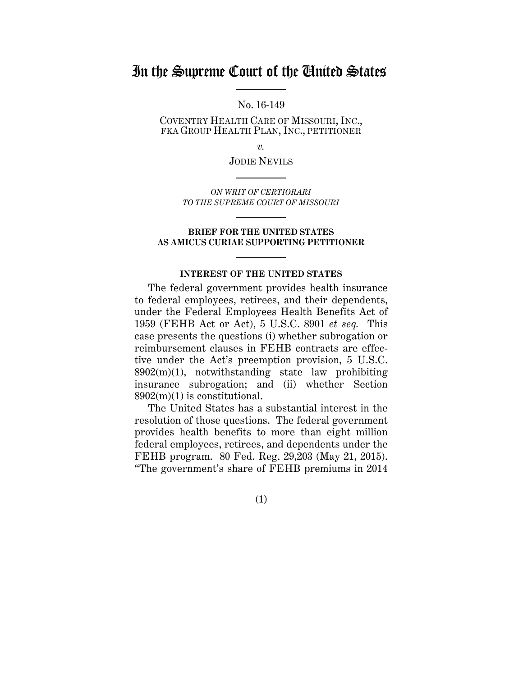## In the Supreme Court of the United States

No. 16-149

COVENTRY HEALTH CARE OF MISSOURI, INC., FKA GROUP HEALTH PLAN, INC., PETITIONER

*v.*

JODIE NEVILS

*ON WRIT OF CERTIORARI TO THE SUPREME COURT OF MISSOURI*

#### **BRIEF FOR THE UNITED STATES AS AMICUS CURIAE SUPPORTING PETITIONER**

#### **INTEREST OF THE UNITED STATES**

The federal government provides health insurance to federal employees, retirees, and their dependents, under the Federal Employees Health Benefits Act of 1959 (FEHB Act or Act), 5 U.S.C. 8901 *et seq.* This case presents the questions (i) whether subrogation or reimbursement clauses in FEHB contracts are effective under the Act's preemption provision, 5 U.S.C.  $8902(m)(1)$ , notwithstanding state law prohibiting insurance subrogation; and (ii) whether Section 8902(m)(1) is constitutional.

The United States has a substantial interest in the resolution of those questions. The federal government provides health benefits to more than eight million federal employees, retirees, and dependents under the FEHB program. 80 Fed. Reg. 29,203 (May 21, 2015). "The government's share of FEHB premiums in 2014

(1)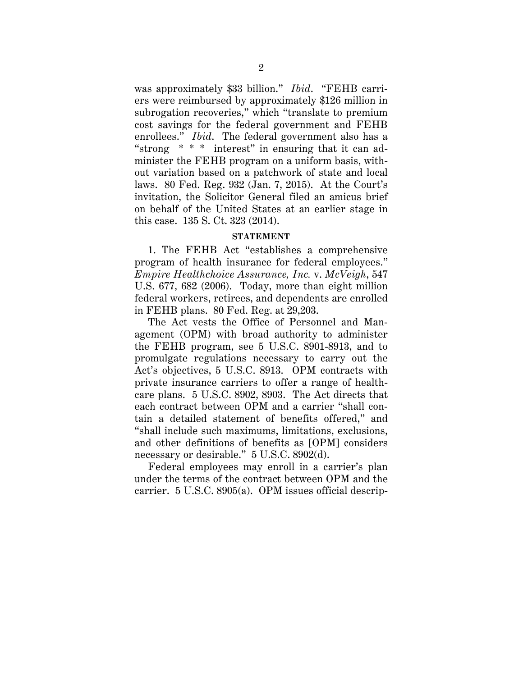was approximately \$33 billion." *Ibid*. "FEHB carriers were reimbursed by approximately \$126 million in subrogation recoveries," which "translate to premium cost savings for the federal government and FEHB enrollees." *Ibid*. The federal government also has a "strong \* \* \* interest" in ensuring that it can administer the FEHB program on a uniform basis, without variation based on a patchwork of state and local laws. 80 Fed. Reg. 932 (Jan. 7, 2015). At the Court's invitation, the Solicitor General filed an amicus brief on behalf of the United States at an earlier stage in this case. 135 S. Ct. 323 (2014).

#### **STATEMENT**

1. The FEHB Act "establishes a comprehensive program of health insurance for federal employees." *Empire Healthchoice Assurance, Inc.* v. *McVeigh*, 547 U.S. 677, 682 (2006). Today, more than eight million federal workers, retirees, and dependents are enrolled in FEHB plans. 80 Fed. Reg. at 29,203.

The Act vests the Office of Personnel and Management (OPM) with broad authority to administer the FEHB program, see 5 U.S.C. 8901-8913, and to promulgate regulations necessary to carry out the Act's objectives, 5 U.S.C. 8913. OPM contracts with private insurance carriers to offer a range of healthcare plans. 5 U.S.C. 8902, 8903. The Act directs that each contract between OPM and a carrier "shall contain a detailed statement of benefits offered," and "shall include such maximums, limitations, exclusions, and other definitions of benefits as [OPM] considers necessary or desirable." 5 U.S.C. 8902(d).

Federal employees may enroll in a carrier's plan under the terms of the contract between OPM and the carrier. 5 U.S.C. 8905(a). OPM issues official descrip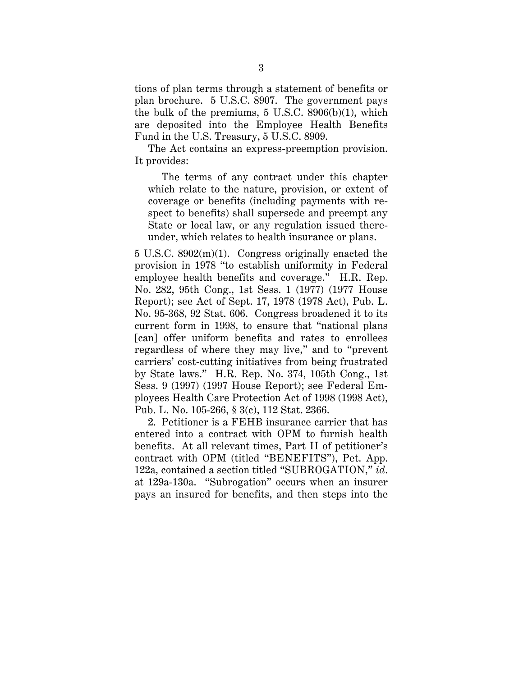tions of plan terms through a statement of benefits or plan brochure. 5 U.S.C. 8907. The government pays the bulk of the premiums, 5 U.S.C. 8906(b)(1), which are deposited into the Employee Health Benefits Fund in the U.S. Treasury, 5 U.S.C. 8909.

The Act contains an express-preemption provision. It provides:

The terms of any contract under this chapter which relate to the nature, provision, or extent of coverage or benefits (including payments with respect to benefits) shall supersede and preempt any State or local law, or any regulation issued thereunder, which relates to health insurance or plans.

5 U.S.C. 8902(m)(1). Congress originally enacted the provision in 1978 "to establish uniformity in Federal employee health benefits and coverage." H.R. Rep. No. 282, 95th Cong., 1st Sess. 1 (1977) (1977 House Report); see Act of Sept. 17, 1978 (1978 Act), Pub. L. No. 95-368, 92 Stat. 606. Congress broadened it to its current form in 1998, to ensure that "national plans [can] offer uniform benefits and rates to enrollees regardless of where they may live," and to "prevent carriers' cost-cutting initiatives from being frustrated by State laws." H.R. Rep. No. 374, 105th Cong., 1st Sess. 9 (1997) (1997 House Report); see Federal Employees Health Care Protection Act of 1998 (1998 Act), Pub. L. No. 105-266, § 3(c), 112 Stat. 2366.

2. Petitioner is a FEHB insurance carrier that has entered into a contract with OPM to furnish health benefits. At all relevant times, Part II of petitioner's contract with OPM (titled "BENEFITS"), Pet. App. 122a, contained a section titled "SUBROGATION," *id*. at 129a-130a. "Subrogation" occurs when an insurer pays an insured for benefits, and then steps into the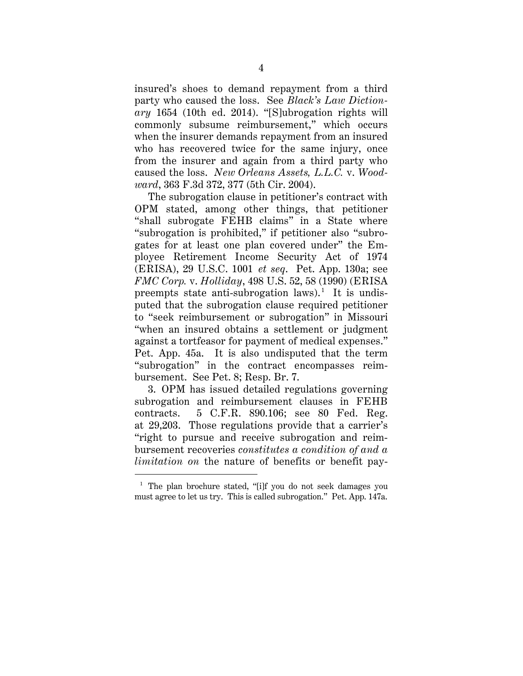insured's shoes to demand repayment from a third party who caused the loss. See *Black's Law Dictionary* 1654 (10th ed. 2014). "[S]ubrogation rights will commonly subsume reimbursement," which occurs when the insurer demands repayment from an insured who has recovered twice for the same injury, once from the insurer and again from a third party who caused the loss. *New Orleans Assets, L.L.C.* v. *Woodward*, 363 F.3d 372, 377 (5th Cir. 2004).

The subrogation clause in petitioner's contract with OPM stated, among other things, that petitioner "shall subrogate FEHB claims" in a State where "subrogation is prohibited," if petitioner also "subrogates for at least one plan covered under" the Employee Retirement Income Security Act of 1974 (ERISA), 29 U.S.C. 1001 *et seq*. Pet. App. 130a; see *FMC Corp.* v. *Holliday*, 498 U.S. 52, 58 (1990) (ERISA preempts state anti-subrogation laws).<sup>1</sup> It is undisputed that the subrogation clause required petitioner to "seek reimbursement or subrogation" in Missouri "when an insured obtains a settlement or judgment against a tortfeasor for payment of medical expenses." Pet. App. 45a. It is also undisputed that the term "subrogation" in the contract encompasses reimbursement. See Pet. 8; Resp. Br. 7.

3. OPM has issued detailed regulations governing subrogation and reimbursement clauses in FEHB contracts. 5 C.F.R. 890.106; see 80 Fed. Reg. at 29,203. Those regulations provide that a carrier's "right to pursue and receive subrogation and reimbursement recoveries *constitutes a condition of and a limitation on* the nature of benefits or benefit pay-

<sup>&</sup>lt;sup>1</sup> The plan brochure stated, "[i]f you do not seek damages you must agree to let us try. This is called subrogation." Pet. App. 147a.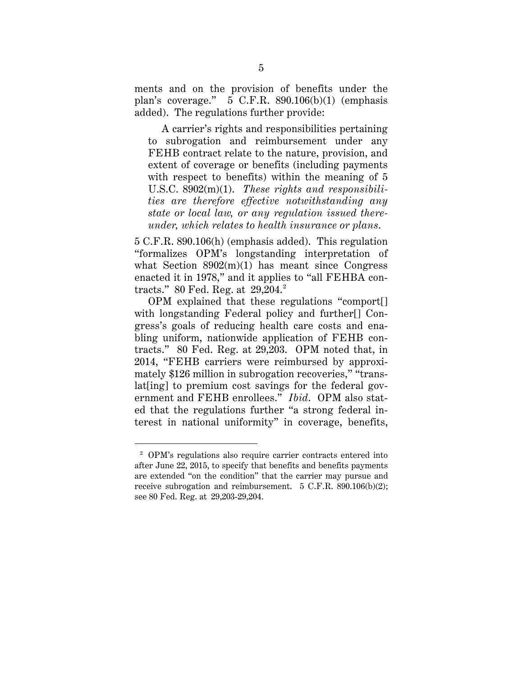ments and on the provision of benefits under the plan's coverage."  $5$  C.F.R.  $890.106(b)(1)$  (emphasis added). The regulations further provide:

A carrier's rights and responsibilities pertaining to subrogation and reimbursement under any FEHB contract relate to the nature, provision, and extent of coverage or benefits (including payments with respect to benefits) within the meaning of 5 U.S.C. 8902(m)(1). *These rights and responsibilities are therefore effective notwithstanding any state or local law, or any regulation issued thereunder, which relates to health insurance or plans*.

5 C.F.R. 890.106(h) (emphasis added). This regulation "formalizes OPM's longstanding interpretation of what Section  $8902(m)(1)$  has meant since Congress enacted it in 1978," and it applies to "all FEHBA contracts." 80 Fed. Reg. at 29,204. <sup>2</sup>

OPM explained that these regulations "comport[] with longstanding Federal policy and further[] Congress's goals of reducing health care costs and enabling uniform, nationwide application of FEHB contracts." 80 Fed. Reg. at 29,203. OPM noted that, in 2014, "FEHB carriers were reimbursed by approximately \$126 million in subrogation recoveries," "translat [ing] to premium cost savings for the federal government and FEHB enrollees." *Ibid*. OPM also stated that the regulations further "a strong federal interest in national uniformity" in coverage, benefits,

 <sup>2</sup> OPM's regulations also require carrier contracts entered into after June 22, 2015, to specify that benefits and benefits payments are extended "on the condition" that the carrier may pursue and receive subrogation and reimbursement. 5 C.F.R. 890.106(b)(2); see 80 Fed. Reg. at 29,203-29,204.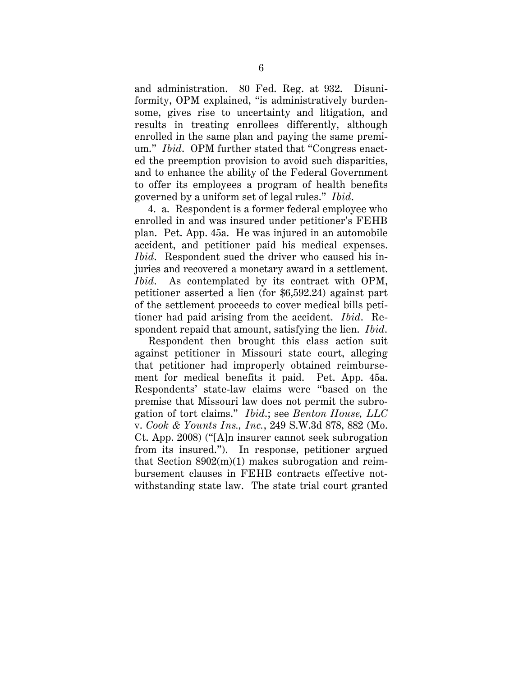and administration. 80 Fed. Reg. at 932. Disuniformity, OPM explained, "is administratively burdensome, gives rise to uncertainty and litigation, and results in treating enrollees differently, although enrolled in the same plan and paying the same premium." *Ibid*. OPM further stated that "Congress enacted the preemption provision to avoid such disparities, and to enhance the ability of the Federal Government to offer its employees a program of health benefits governed by a uniform set of legal rules." *Ibid*.

4. a. Respondent is a former federal employee who enrolled in and was insured under petitioner's FEHB plan. Pet. App. 45a. He was injured in an automobile accident, and petitioner paid his medical expenses. *Ibid*. Respondent sued the driver who caused his injuries and recovered a monetary award in a settlement. *Ibid*. As contemplated by its contract with OPM, petitioner asserted a lien (for \$6,592.24) against part of the settlement proceeds to cover medical bills petitioner had paid arising from the accident. *Ibid*. Respondent repaid that amount, satisfying the lien. *Ibid*.

Respondent then brought this class action suit against petitioner in Missouri state court, alleging that petitioner had improperly obtained reimbursement for medical benefits it paid. Pet. App. 45a. Respondents' state-law claims were "based on the premise that Missouri law does not permit the subrogation of tort claims." *Ibid*.; see *Benton House, LLC*  v. *Cook & Younts Ins., Inc.*, 249 S.W.3d 878, 882 (Mo. Ct. App. 2008) ("[A]n insurer cannot seek subrogation from its insured."). In response, petitioner argued that Section 8902(m)(1) makes subrogation and reimbursement clauses in FEHB contracts effective notwithstanding state law. The state trial court granted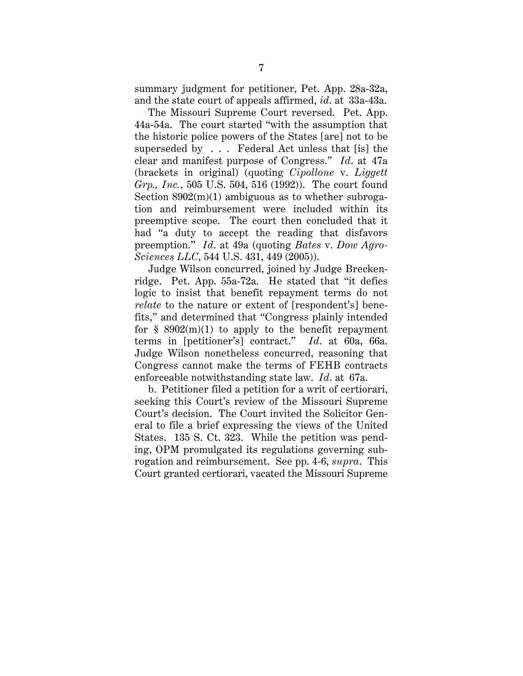summary judgment for petitioner, Pet. App. 28a-32a, and the state court of appeals affirmed, *id*. at 33a-43a.

The Missouri Supreme Court reversed. Pet. App. 44a-54a. The court started "with the assumption that the historic police powers of the States [are] not to be superseded by . . . Federal Act unless that [is] the clear and manifest purpose of Congress." *Id*. at 47a (brackets in original) (quoting *Cipollone* v. *Liggett Grp., Inc.*, 505 U.S. 504, 516 (1992)). The court found Section  $8902(m)(1)$  ambiguous as to whether subrogation and reimbursement were included within its preemptive scope. The court then concluded that it had "a duty to accept the reading that disfavors preemption." *Id*. at 49a (quoting *Bates* v. *Dow Agro-Sciences LLC*, 544 U.S. 431, 449 (2005)).

Judge Wilson concurred, joined by Judge Breckenridge. Pet. App. 55a-72a. He stated that "it defies logic to insist that benefit repayment terms do not *relate* to the nature or extent of [respondent's] benefits," and determined that "Congress plainly intended for  $\S$  8902(m)(1) to apply to the benefit repayment terms in [petitioner's] contract." *Id*. at 60a, 66a. Judge Wilson nonetheless concurred, reasoning that Congress cannot make the terms of FEHB contracts enforceable notwithstanding state law. *Id*. at 67a.

b. Petitioner filed a petition for a writ of certiorari, seeking this Court's review of the Missouri Supreme Court's decision. The Court invited the Solicitor General to file a brief expressing the views of the United States. 135 S. Ct. 323. While the petition was pending, OPM promulgated its regulations governing subrogation and reimbursement. See pp. 4-6, *supra*. This Court granted certiorari, vacated the Missouri Supreme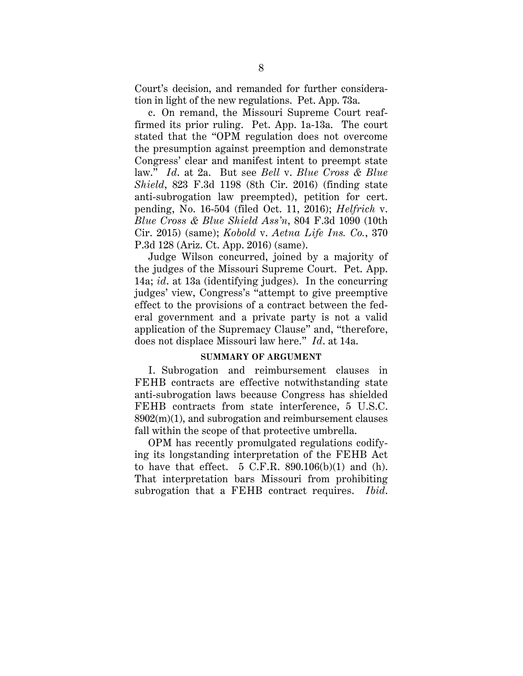Court's decision, and remanded for further consideration in light of the new regulations. Pet. App. 73a.

c. On remand, the Missouri Supreme Court reaffirmed its prior ruling. Pet. App. 1a-13a. The court stated that the "OPM regulation does not overcome the presumption against preemption and demonstrate Congress' clear and manifest intent to preempt state law." *Id*. at 2a. But see *Bell* v. *Blue Cross & Blue Shield*, 823 F.3d 1198 (8th Cir. 2016) (finding state anti-subrogation law preempted), petition for cert. pending, No. 16-504 (filed Oct. 11, 2016); *Helfrich* v. *Blue Cross & Blue Shield Ass'n*, 804 F.3d 1090 (10th Cir. 2015) (same); *Kobold* v. *Aetna Life Ins. Co.*, 370 P.3d 128 (Ariz. Ct. App. 2016) (same).

Judge Wilson concurred, joined by a majority of the judges of the Missouri Supreme Court. Pet. App. 14a; *id*. at 13a (identifying judges). In the concurring judges' view, Congress's "attempt to give preemptive effect to the provisions of a contract between the federal government and a private party is not a valid application of the Supremacy Clause" and, "therefore, does not displace Missouri law here." *Id*. at 14a.

#### **SUMMARY OF ARGUMENT**

I. Subrogation and reimbursement clauses in FEHB contracts are effective notwithstanding state anti-subrogation laws because Congress has shielded FEHB contracts from state interference, 5 U.S.C. 8902(m)(1), and subrogation and reimbursement clauses fall within the scope of that protective umbrella.

OPM has recently promulgated regulations codifying its longstanding interpretation of the FEHB Act to have that effect.  $5$  C.F.R. 890.106(b)(1) and (h). That interpretation bars Missouri from prohibiting subrogation that a FEHB contract requires. *Ibid*.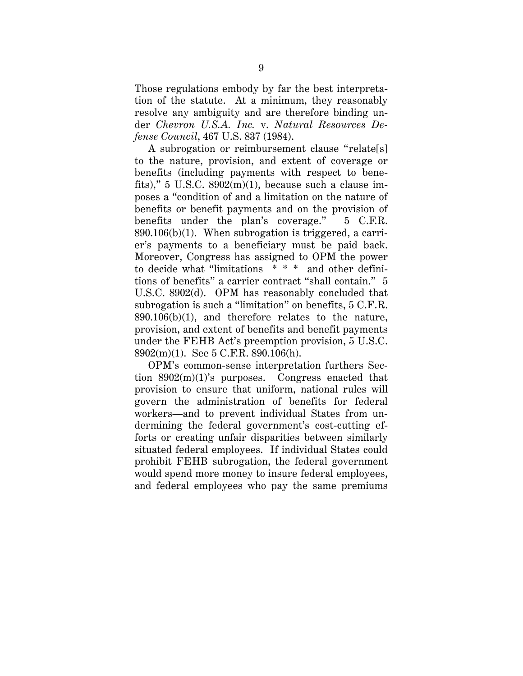Those regulations embody by far the best interpretation of the statute. At a minimum, they reasonably resolve any ambiguity and are therefore binding under *Chevron U.S.A. Inc.* v. *Natural Resources Defense Council*, 467 U.S. 837 (1984).

A subrogation or reimbursement clause "relate[s] to the nature, provision, and extent of coverage or benefits (including payments with respect to benefits)," 5 U.S.C.  $8902(m)(1)$ , because such a clause imposes a "condition of and a limitation on the nature of benefits or benefit payments and on the provision of benefits under the plan's coverage." 5 C.F.R. 890.106(b)(1). When subrogation is triggered, a carrier's payments to a beneficiary must be paid back. Moreover, Congress has assigned to OPM the power to decide what "limitations \* \* \* and other definitions of benefits" a carrier contract "shall contain." 5 U.S.C. 8902(d). OPM has reasonably concluded that subrogation is such a "limitation" on benefits, 5 C.F.R.  $890.106(b)(1)$ , and therefore relates to the nature, provision, and extent of benefits and benefit payments under the FEHB Act's preemption provision, 5 U.S.C. 8902(m)(1). See 5 C.F.R. 890.106(h).

OPM's common-sense interpretation furthers Section 8902(m)(1)'s purposes. Congress enacted that provision to ensure that uniform, national rules will govern the administration of benefits for federal workers—and to prevent individual States from undermining the federal government's cost-cutting efforts or creating unfair disparities between similarly situated federal employees. If individual States could prohibit FEHB subrogation, the federal government would spend more money to insure federal employees, and federal employees who pay the same premiums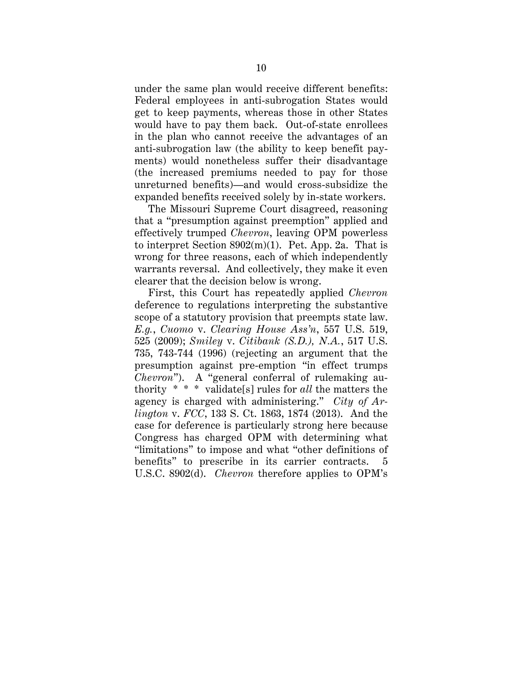under the same plan would receive different benefits: Federal employees in anti-subrogation States would get to keep payments, whereas those in other States would have to pay them back. Out-of-state enrollees in the plan who cannot receive the advantages of an anti-subrogation law (the ability to keep benefit payments) would nonetheless suffer their disadvantage (the increased premiums needed to pay for those unreturned benefits)—and would cross-subsidize the expanded benefits received solely by in-state workers.

The Missouri Supreme Court disagreed, reasoning that a "presumption against preemption" applied and effectively trumped *Chevron*, leaving OPM powerless to interpret Section 8902(m)(1). Pet. App. 2a. That is wrong for three reasons, each of which independently warrants reversal. And collectively, they make it even clearer that the decision below is wrong.

First, this Court has repeatedly applied *Chevron* deference to regulations interpreting the substantive scope of a statutory provision that preempts state law. *E.g.*, *Cuomo* v. *Clearing House Ass'n*, 557 U.S. 519, 525 (2009); *Smiley* v. *Citibank (S.D.), N.A.*, 517 U.S. 735, 743-744 (1996) (rejecting an argument that the presumption against pre-emption "in effect trumps *Chevron*"). A "general conferral of rulemaking authority \* \* \* validate[s] rules for *all* the matters the agency is charged with administering." *City of Arlington* v. *FCC*, 133 S. Ct. 1863, 1874 (2013). And the case for deference is particularly strong here because Congress has charged OPM with determining what "limitations" to impose and what "other definitions of benefits" to prescribe in its carrier contracts. 5 U.S.C. 8902(d). *Chevron* therefore applies to OPM's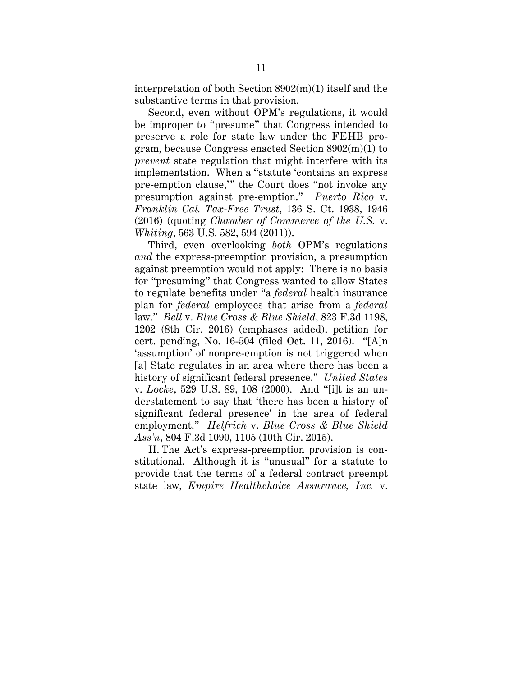interpretation of both Section 8902(m)(1) itself and the substantive terms in that provision.

Second, even without OPM's regulations, it would be improper to "presume" that Congress intended to preserve a role for state law under the FEHB program, because Congress enacted Section 8902(m)(1) to *prevent* state regulation that might interfere with its implementation. When a "statute 'contains an express pre-emption clause,'" the Court does "not invoke any presumption against pre-emption." *Puerto Rico* v. *Franklin Cal. Tax-Free Trust*, 136 S. Ct. 1938, 1946 (2016) (quoting *Chamber of Commerce of the U.S.* v. *Whiting*, 563 U.S. 582, 594 (2011)).

Third, even overlooking *both* OPM's regulations *and* the express-preemption provision, a presumption against preemption would not apply: There is no basis for "presuming" that Congress wanted to allow States to regulate benefits under "a *federal* health insurance plan for *federal* employees that arise from a *federal* law." *Bell* v. *Blue Cross & Blue Shield*, 823 F.3d 1198, 1202 (8th Cir. 2016) (emphases added), petition for cert. pending, No. 16-504 (filed Oct. 11, 2016). "[A]n 'assumption' of nonpre-emption is not triggered when [a] State regulates in an area where there has been a history of significant federal presence." *United States*  v. *Locke*, 529 U.S. 89, 108 (2000). And "[i]t is an understatement to say that 'there has been a history of significant federal presence' in the area of federal employment." *Helfrich* v. *Blue Cross & Blue Shield Ass'n*, 804 F.3d 1090, 1105 (10th Cir. 2015).

II. The Act's express-preemption provision is constitutional. Although it is "unusual" for a statute to provide that the terms of a federal contract preempt state law, *Empire Healthchoice Assurance, Inc.* v.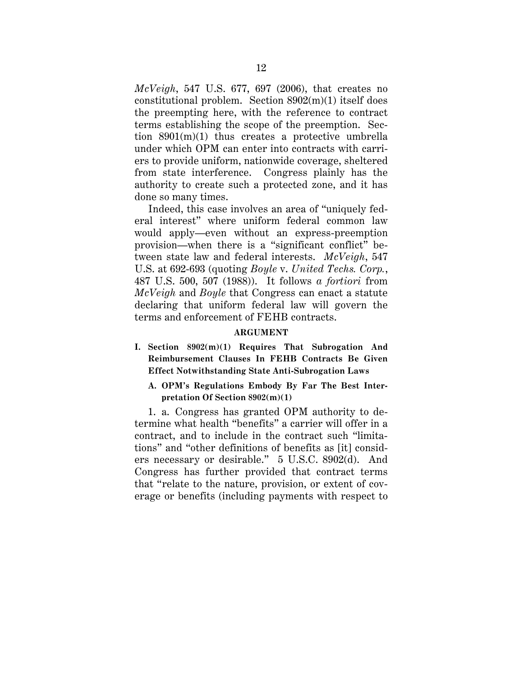*McVeigh*, 547 U.S. 677, 697 (2006), that creates no constitutional problem. Section 8902(m)(1) itself does the preempting here, with the reference to contract terms establishing the scope of the preemption. Section 8901(m)(1) thus creates a protective umbrella under which OPM can enter into contracts with carriers to provide uniform, nationwide coverage, sheltered from state interference. Congress plainly has the authority to create such a protected zone, and it has done so many times.

Indeed, this case involves an area of "uniquely federal interest" where uniform federal common law would apply—even without an express-preemption provision—when there is a "significant conflict" between state law and federal interests. *McVeigh*, 547 U.S. at 692-693 (quoting *Boyle* v. *United Techs. Corp.*, 487 U.S. 500, 507 (1988)). It follows *a fortiori* from *McVeigh* and *Boyle* that Congress can enact a statute declaring that uniform federal law will govern the terms and enforcement of FEHB contracts.

#### **ARGUMENT**

- **I. Section 8902(m)(1) Requires That Subrogation And Reimbursement Clauses In FEHB Contracts Be Given Effect Notwithstanding State Anti-Subrogation Laws**
	- **A. OPM's Regulations Embody By Far The Best Interpretation Of Section 8902(m)(1)**

1. a. Congress has granted OPM authority to determine what health "benefits" a carrier will offer in a contract, and to include in the contract such "limitations" and "other definitions of benefits as [it] considers necessary or desirable." 5 U.S.C. 8902(d). And Congress has further provided that contract terms that "relate to the nature, provision, or extent of coverage or benefits (including payments with respect to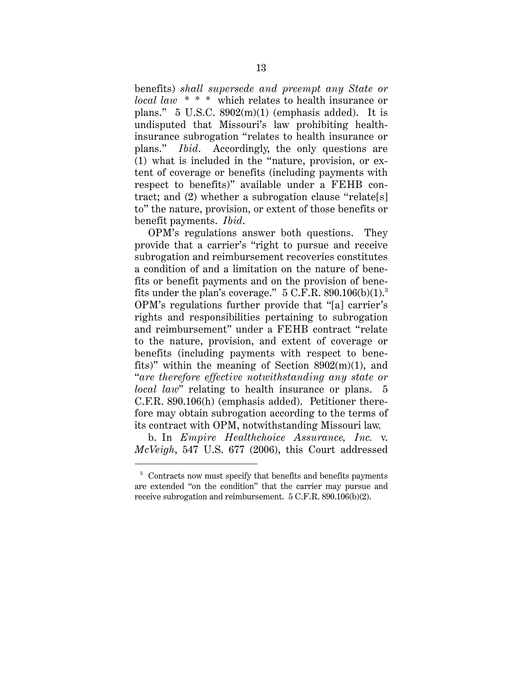benefits) *shall supersede and preempt any State or local law* \* \* \* which relates to health insurance or plans."  $5 \text{ U.S.C. } 8902 \text{(m)}(1)$  (emphasis added). It is undisputed that Missouri's law prohibiting healthinsurance subrogation "relates to health insurance or plans." *Ibid*. Accordingly, the only questions are (1) what is included in the "nature, provision, or extent of coverage or benefits (including payments with respect to benefits)" available under a FEHB contract; and (2) whether a subrogation clause "relate[s] to" the nature, provision, or extent of those benefits or benefit payments. *Ibid*.

OPM's regulations answer both questions. They provide that a carrier's "right to pursue and receive subrogation and reimbursement recoveries constitutes a condition of and a limitation on the nature of benefits or benefit payments and on the provision of benefits under the plan's coverage."  $5$  C.F.R. 890.106(b)(1).<sup>3</sup> OPM's regulations further provide that "[a] carrier's rights and responsibilities pertaining to subrogation and reimbursement" under a FEHB contract "relate to the nature, provision, and extent of coverage or benefits (including payments with respect to benefits)" within the meaning of Section  $8902(m)(1)$ , and "*are therefore effective notwithstanding any state or local law*" relating to health insurance or plans. 5 C.F.R. 890.106(h) (emphasis added). Petitioner therefore may obtain subrogation according to the terms of its contract with OPM, notwithstanding Missouri law.

b. In *Empire Healthchoice Assurance, Inc.* v. *McVeigh*, 547 U.S. 677 (2006), this Court addressed

<sup>&</sup>lt;sup>3</sup> Contracts now must specify that benefits and benefits payments are extended "on the condition" that the carrier may pursue and receive subrogation and reimbursement. 5 C.F.R. 890.106(b)(2).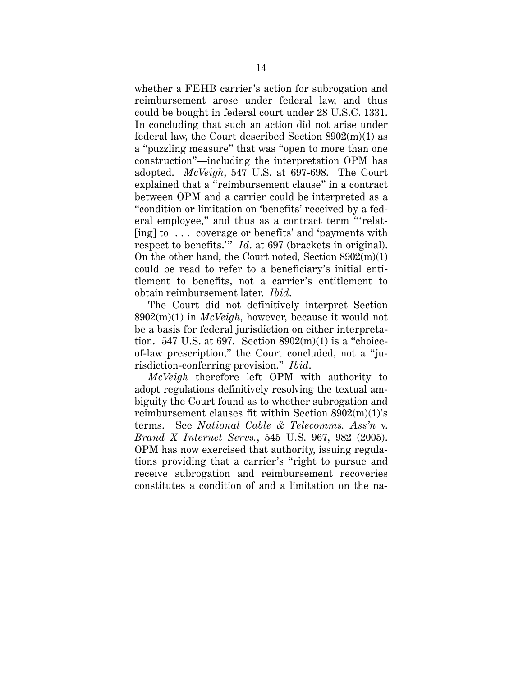whether a FEHB carrier's action for subrogation and reimbursement arose under federal law, and thus could be bought in federal court under 28 U.S.C. 1331. In concluding that such an action did not arise under federal law, the Court described Section  $8902(m)(1)$  as a "puzzling measure" that was "open to more than one construction"—including the interpretation OPM has adopted. *McVeigh*, 547 U.S. at 697-698. The Court explained that a "reimbursement clause" in a contract between OPM and a carrier could be interpreted as a "condition or limitation on 'benefits' received by a federal employee," and thus as a contract term "'relat- [ing] to . . . coverage or benefits' and 'payments with respect to benefits.'" *Id*. at 697 (brackets in original). On the other hand, the Court noted, Section 8902(m)(1) could be read to refer to a beneficiary's initial entitlement to benefits, not a carrier's entitlement to obtain reimbursement later. *Ibid*.

The Court did not definitively interpret Section 8902(m)(1) in *McVeigh*, however, because it would not be a basis for federal jurisdiction on either interpretation. 547 U.S. at 697. Section  $8902(m)(1)$  is a "choiceof-law prescription," the Court concluded, not a "jurisdiction-conferring provision." *Ibid*.

*McVeigh* therefore left OPM with authority to adopt regulations definitively resolving the textual ambiguity the Court found as to whether subrogation and reimbursement clauses fit within Section 8902(m)(1)'s terms. See *National Cable & Telecomms. Ass'n* v. *Brand X Internet Servs.*, 545 U.S. 967, 982 (2005). OPM has now exercised that authority, issuing regulations providing that a carrier's "right to pursue and receive subrogation and reimbursement recoveries constitutes a condition of and a limitation on the na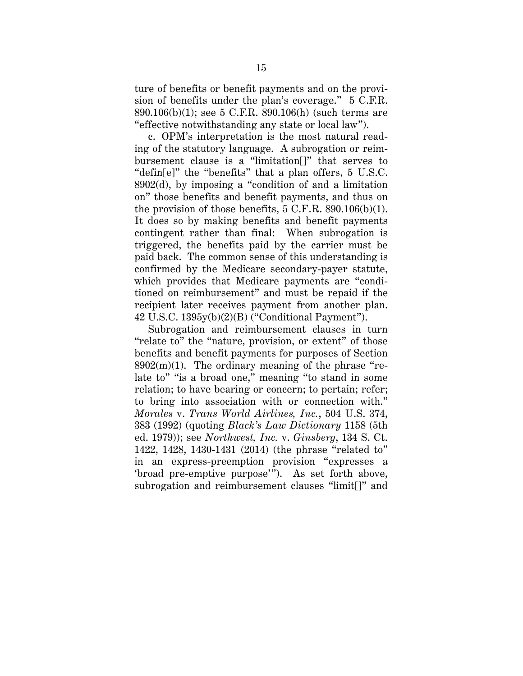ture of benefits or benefit payments and on the provision of benefits under the plan's coverage." 5 C.F.R. 890.106(b)(1); see 5 C.F.R. 890.106(h) (such terms are "effective notwithstanding any state or local law").

c. OPM's interpretation is the most natural reading of the statutory language. A subrogation or reimbursement clause is a "limitation[]" that serves to "defin[e]" the "benefits" that a plan offers, 5 U.S.C. 8902(d), by imposing a "condition of and a limitation on" those benefits and benefit payments, and thus on the provision of those benefits,  $5 \text{ C.F.R. } 890.106(b)(1)$ . It does so by making benefits and benefit payments contingent rather than final: When subrogation is triggered, the benefits paid by the carrier must be paid back. The common sense of this understanding is confirmed by the Medicare secondary-payer statute, which provides that Medicare payments are "conditioned on reimbursement" and must be repaid if the recipient later receives payment from another plan. 42 U.S.C. 1395y(b)(2)(B) ("Conditional Payment").

Subrogation and reimbursement clauses in turn "relate to" the "nature, provision, or extent" of those benefits and benefit payments for purposes of Section  $8902(m)(1)$ . The ordinary meaning of the phrase "relate to" "is a broad one," meaning "to stand in some relation; to have bearing or concern; to pertain; refer; to bring into association with or connection with." *Morales* v. *Trans World Airlines, Inc.*, 504 U.S. 374, 383 (1992) (quoting *Black's Law Dictionary* 1158 (5th ed. 1979)); see *Northwest, Inc.* v. *Ginsberg*, 134 S. Ct. 1422, 1428, 1430-1431 (2014) (the phrase "related to" in an express-preemption provision "expresses a 'broad pre-emptive purpose'"). As set forth above, subrogation and reimbursement clauses "limit[]" and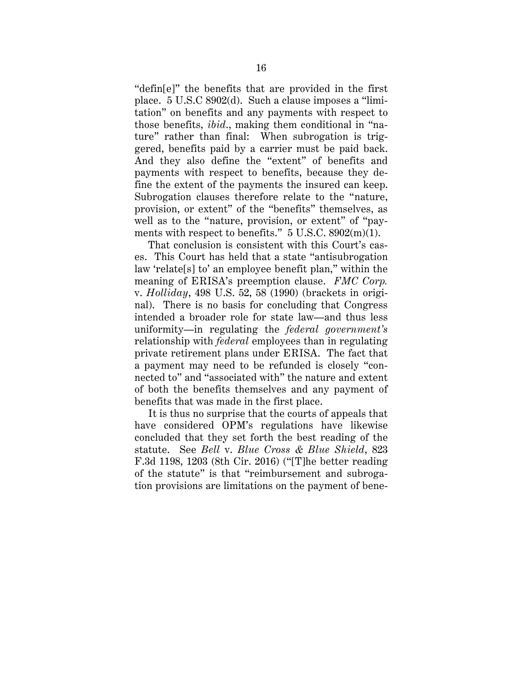"defin[e]" the benefits that are provided in the first place. 5 U.S.C 8902(d). Such a clause imposes a "limitation" on benefits and any payments with respect to those benefits, *ibid*., making them conditional in "nature" rather than final: When subrogation is triggered, benefits paid by a carrier must be paid back. And they also define the "extent" of benefits and payments with respect to benefits, because they define the extent of the payments the insured can keep. Subrogation clauses therefore relate to the "nature, provision, or extent" of the "benefits" themselves, as well as to the "nature, provision, or extent" of "payments with respect to benefits." 5 U.S.C. 8902(m)(1).

That conclusion is consistent with this Court's cases. This Court has held that a state "antisubrogation law 'relate[s] to' an employee benefit plan," within the meaning of ERISA's preemption clause. *FMC Corp.* v. *Holliday*, 498 U.S. 52, 58 (1990) (brackets in original). There is no basis for concluding that Congress intended a broader role for state law—and thus less uniformity—in regulating the *federal government's* relationship with *federal* employees than in regulating private retirement plans under ERISA. The fact that a payment may need to be refunded is closely "connected to" and "associated with" the nature and extent of both the benefits themselves and any payment of benefits that was made in the first place.

It is thus no surprise that the courts of appeals that have considered OPM's regulations have likewise concluded that they set forth the best reading of the statute. See *Bell* v. *Blue Cross & Blue Shield*, 823 F.3d 1198, 1203 (8th Cir. 2016) ("[T]he better reading of the statute" is that "reimbursement and subrogation provisions are limitations on the payment of bene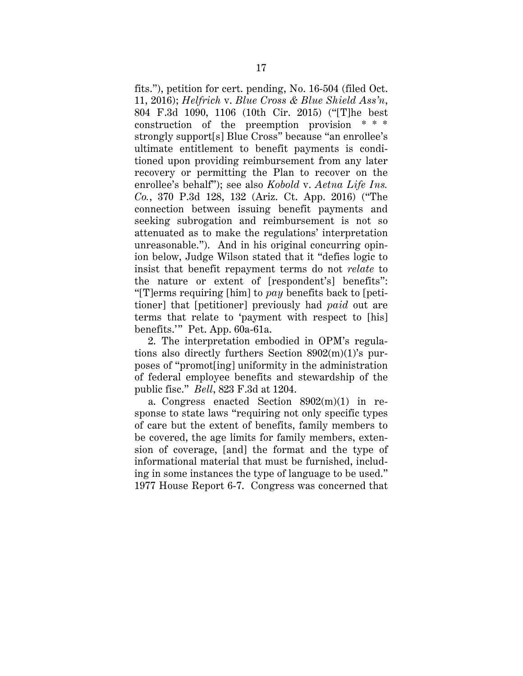fits."), petition for cert. pending, No. 16-504 (filed Oct. 11, 2016); *Helfrich* v. *Blue Cross & Blue Shield Ass'n*, 804 F.3d 1090, 1106 (10th Cir. 2015) ("[T]he best construction of the preemption provision strongly support[s] Blue Cross" because "an enrollee's ultimate entitlement to benefit payments is conditioned upon providing reimbursement from any later recovery or permitting the Plan to recover on the enrollee's behalf"); see also *Kobold* v. *Aetna Life Ins. Co.*, 370 P.3d 128, 132 (Ariz. Ct. App. 2016) ("The connection between issuing benefit payments and seeking subrogation and reimbursement is not so attenuated as to make the regulations' interpretation unreasonable."). And in his original concurring opinion below, Judge Wilson stated that it "defies logic to insist that benefit repayment terms do not *relate* to the nature or extent of [respondent's] benefits": "[T]erms requiring [him] to *pay* benefits back to [petitioner] that [petitioner] previously had *paid* out are terms that relate to 'payment with respect to [his] benefits.'" Pet. App. 60a-61a.

2. The interpretation embodied in OPM's regulations also directly furthers Section 8902(m)(1)'s purposes of "promot[ing] uniformity in the administration of federal employee benefits and stewardship of the public fisc." *Bell*, 823 F.3d at 1204.

a. Congress enacted Section 8902(m)(1) in response to state laws "requiring not only specific types of care but the extent of benefits, family members to be covered, the age limits for family members, extension of coverage, [and] the format and the type of informational material that must be furnished, including in some instances the type of language to be used." 1977 House Report 6-7. Congress was concerned that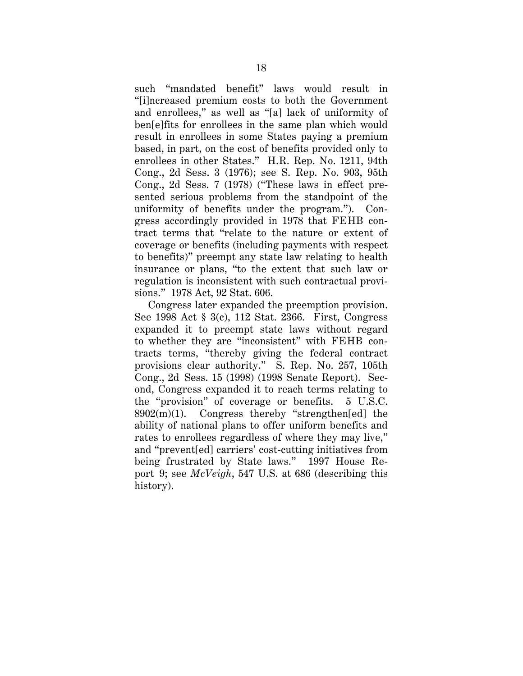such "mandated benefit" laws would result in "[i]ncreased premium costs to both the Government and enrollees," as well as "[a] lack of uniformity of ben[e]fits for enrollees in the same plan which would result in enrollees in some States paying a premium based, in part, on the cost of benefits provided only to enrollees in other States." H.R. Rep. No. 1211, 94th Cong., 2d Sess. 3 (1976); see S. Rep. No. 903, 95th Cong., 2d Sess. 7 (1978) ("These laws in effect presented serious problems from the standpoint of the uniformity of benefits under the program."). Congress accordingly provided in 1978 that FEHB contract terms that "relate to the nature or extent of coverage or benefits (including payments with respect to benefits)" preempt any state law relating to health insurance or plans, "to the extent that such law or regulation is inconsistent with such contractual provisions." 1978 Act, 92 Stat. 606.

Congress later expanded the preemption provision. See 1998 Act § 3(c), 112 Stat. 2366. First, Congress expanded it to preempt state laws without regard to whether they are "inconsistent" with FEHB contracts terms, "thereby giving the federal contract provisions clear authority." S. Rep. No. 257, 105th Cong., 2d Sess. 15 (1998) (1998 Senate Report). Second, Congress expanded it to reach terms relating to the "provision" of coverage or benefits. 5 U.S.C. 8902(m)(1). Congress thereby "strengthen[ed] the ability of national plans to offer uniform benefits and rates to enrollees regardless of where they may live," and "prevent[ed] carriers' cost-cutting initiatives from being frustrated by State laws." 1997 House Report 9; see *McVeigh*, 547 U.S. at 686 (describing this history).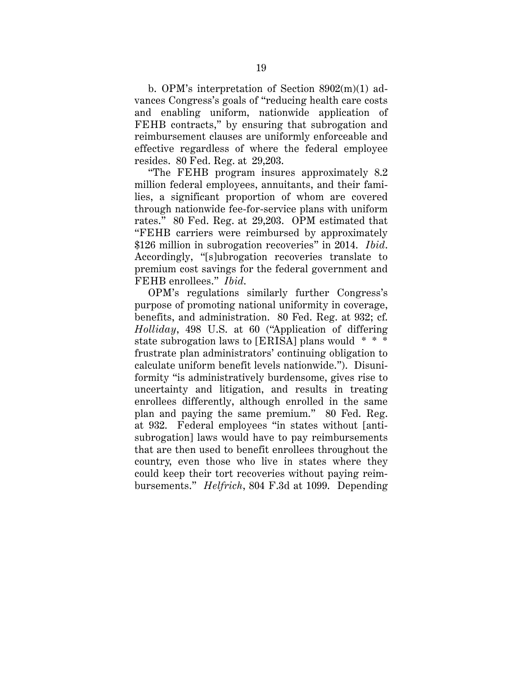b. OPM's interpretation of Section 8902(m)(1) advances Congress's goals of "reducing health care costs and enabling uniform, nationwide application of FEHB contracts," by ensuring that subrogation and reimbursement clauses are uniformly enforceable and effective regardless of where the federal employee resides. 80 Fed. Reg. at 29,203.

"The FEHB program insures approximately 8.2 million federal employees, annuitants, and their families, a significant proportion of whom are covered through nationwide fee-for-service plans with uniform rates." 80 Fed. Reg. at 29,203. OPM estimated that "FEHB carriers were reimbursed by approximately \$126 million in subrogation recoveries" in 2014. *Ibid*. Accordingly, "[s]ubrogation recoveries translate to premium cost savings for the federal government and FEHB enrollees." *Ibid*.

OPM's regulations similarly further Congress's purpose of promoting national uniformity in coverage, benefits, and administration. 80 Fed. Reg. at 932; cf. *Holliday*, 498 U.S. at 60 ("Application of differing state subrogation laws to [ERISA] plans would \* \* \* frustrate plan administrators' continuing obligation to calculate uniform benefit levels nationwide."). Disuniformity "is administratively burdensome, gives rise to uncertainty and litigation, and results in treating enrollees differently, although enrolled in the same plan and paying the same premium." 80 Fed. Reg. at 932. Federal employees "in states without [antisubrogation] laws would have to pay reimbursements that are then used to benefit enrollees throughout the country, even those who live in states where they could keep their tort recoveries without paying reimbursements." *Helfrich*, 804 F.3d at 1099. Depending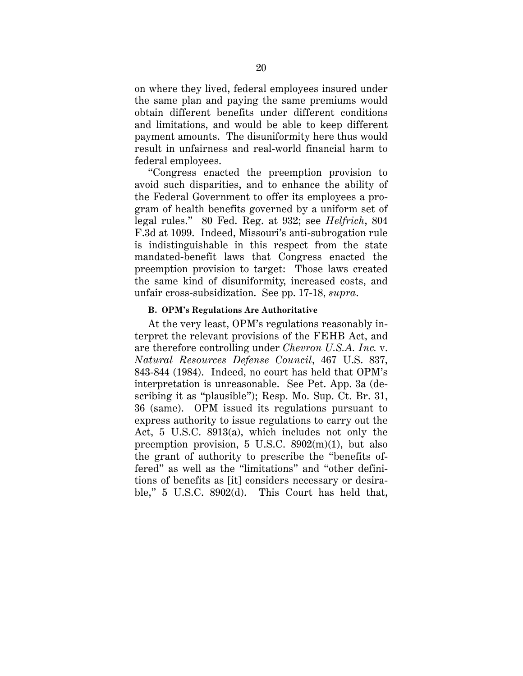on where they lived, federal employees insured under the same plan and paying the same premiums would obtain different benefits under different conditions and limitations, and would be able to keep different payment amounts. The disuniformity here thus would result in unfairness and real-world financial harm to federal employees.

"Congress enacted the preemption provision to avoid such disparities, and to enhance the ability of the Federal Government to offer its employees a program of health benefits governed by a uniform set of legal rules." 80 Fed. Reg. at 932; see *Helfrich*, 804 F.3d at 1099. Indeed, Missouri's anti-subrogation rule is indistinguishable in this respect from the state mandated-benefit laws that Congress enacted the preemption provision to target: Those laws created the same kind of disuniformity, increased costs, and unfair cross-subsidization. See pp. 17-18, *supra*.

## **B. OPM's Regulations Are Authoritative**

At the very least, OPM's regulations reasonably interpret the relevant provisions of the FEHB Act, and are therefore controlling under *Chevron U.S.A. Inc.* v. *Natural Resources Defense Council*, 467 U.S. 837, 843-844 (1984). Indeed, no court has held that OPM's interpretation is unreasonable. See Pet. App. 3a (describing it as "plausible"); Resp. Mo. Sup. Ct. Br. 31, 36 (same). OPM issued its regulations pursuant to express authority to issue regulations to carry out the Act, 5 U.S.C. 8913(a), which includes not only the preemption provision, 5 U.S.C. 8902(m)(1), but also the grant of authority to prescribe the "benefits offered" as well as the "limitations" and "other definitions of benefits as [it] considers necessary or desirable," 5 U.S.C. 8902(d). This Court has held that,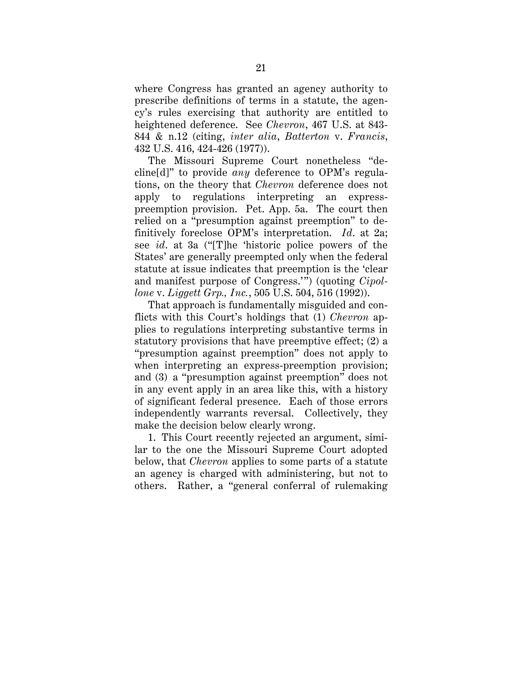where Congress has granted an agency authority to prescribe definitions of terms in a statute, the agency's rules exercising that authority are entitled to heightened deference. See *Chevron*, 467 U.S. at 843- 844 & n.12 (citing, *inter alia*, *Batterton* v. *Francis*, 432 U.S. 416, 424-426 (1977)).

The Missouri Supreme Court nonetheless "decline[d]" to provide *any* deference to OPM's regulations, on the theory that *Chevron* deference does not apply to regulations interpreting an expresspreemption provision. Pet. App. 5a. The court then relied on a "presumption against preemption" to definitively foreclose OPM's interpretation. *Id*. at 2a; see *id*. at 3a ("[T]he 'historic police powers of the States' are generally preempted only when the federal statute at issue indicates that preemption is the 'clear and manifest purpose of Congress.'") (quoting *Cipollone* v. *Liggett Grp., Inc.*, 505 U.S. 504, 516 (1992)).

That approach is fundamentally misguided and conflicts with this Court's holdings that (1) *Chevron* applies to regulations interpreting substantive terms in statutory provisions that have preemptive effect; (2) a "presumption against preemption" does not apply to when interpreting an express-preemption provision; and (3) a "presumption against preemption" does not in any event apply in an area like this, with a history of significant federal presence. Each of those errors independently warrants reversal. Collectively, they make the decision below clearly wrong.

1. This Court recently rejected an argument, similar to the one the Missouri Supreme Court adopted below, that *Chevron* applies to some parts of a statute an agency is charged with administering, but not to others. Rather, a "general conferral of rulemaking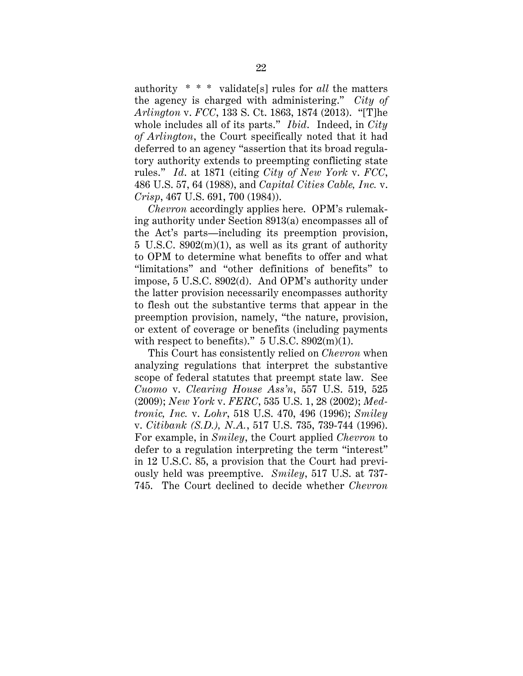authority \* \* \* validate[s] rules for *all* the matters the agency is charged with administering." *City of Arlington* v. *FCC*, 133 S. Ct. 1863, 1874 (2013). "[T]he whole includes all of its parts." *Ibid*. Indeed, in *City of Arlington*, the Court specifically noted that it had deferred to an agency "assertion that its broad regulatory authority extends to preempting conflicting state rules." *Id*. at 1871 (citing *City of New York* v. *FCC*, 486 U.S. 57, 64 (1988), and *Capital Cities Cable, Inc.* v. *Crisp*, 467 U.S. 691, 700 (1984)).

*Chevron* accordingly applies here. OPM's rulemaking authority under Section 8913(a) encompasses all of the Act's parts—including its preemption provision, 5 U.S.C. 8902(m)(1), as well as its grant of authority to OPM to determine what benefits to offer and what "limitations" and "other definitions of benefits" to impose, 5 U.S.C. 8902(d). And OPM's authority under the latter provision necessarily encompasses authority to flesh out the substantive terms that appear in the preemption provision, namely, "the nature, provision, or extent of coverage or benefits (including payments with respect to benefits)."  $5 \text{ U.S.C. } 8902 \text{(m)}(1)$ .

This Court has consistently relied on *Chevron* when analyzing regulations that interpret the substantive scope of federal statutes that preempt state law. See *Cuomo* v. *Clearing House Ass'n*, 557 U.S. 519, 525 (2009); *New York* v. *FERC*, 535 U.S. 1, 28 (2002); *Medtronic, Inc.* v. *Lohr*, 518 U.S. 470, 496 (1996); *Smiley*  v. *Citibank (S.D.), N.A.*, 517 U.S. 735, 739-744 (1996). For example, in *Smiley*, the Court applied *Chevron* to defer to a regulation interpreting the term "interest" in 12 U.S.C. 85, a provision that the Court had previously held was preemptive. *Smiley*, 517 U.S. at 737- 745. The Court declined to decide whether *Chevron*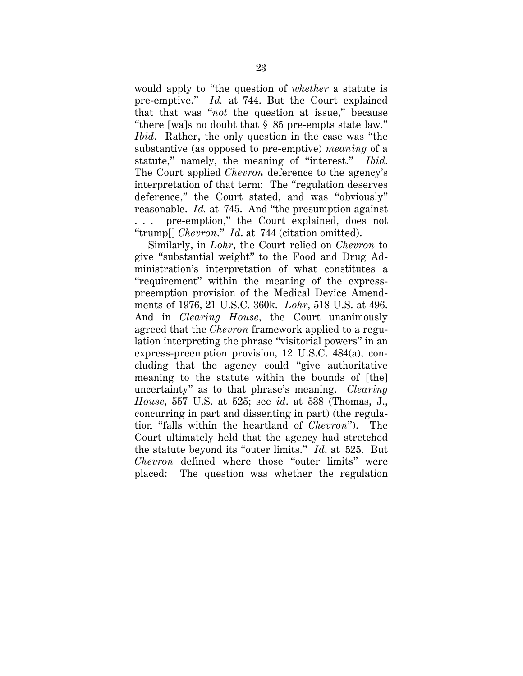would apply to "the question of *whether* a statute is pre-emptive." *Id.* at 744. But the Court explained that that was "*not* the question at issue," because "there [wa]s no doubt that § 85 pre-empts state law." *Ibid*. Rather, the only question in the case was "the substantive (as opposed to pre-emptive) *meaning* of a statute," namely, the meaning of "interest." *Ibid*. The Court applied *Chevron* deference to the agency's interpretation of that term: The "regulation deserves deference," the Court stated, and was "obviously" reasonable. *Id.* at 745. And "the presumption against . . . pre-emption," the Court explained, does not "trump[] *Chevron*." *Id*. at 744 (citation omitted).

Similarly, in *Lohr*, the Court relied on *Chevron* to give "substantial weight" to the Food and Drug Administration's interpretation of what constitutes a "requirement" within the meaning of the expresspreemption provision of the Medical Device Amendments of 1976, 21 U.S.C. 360k. *Lohr*, 518 U.S. at 496. And in *Clearing House*, the Court unanimously agreed that the *Chevron* framework applied to a regulation interpreting the phrase "visitorial powers" in an express-preemption provision, 12 U.S.C. 484(a), concluding that the agency could "give authoritative meaning to the statute within the bounds of [the] uncertainty" as to that phrase's meaning. *Clearing House*, 557 U.S. at 525; see *id*. at 538 (Thomas, J., concurring in part and dissenting in part) (the regulation "falls within the heartland of *Chevron*"). The Court ultimately held that the agency had stretched the statute beyond its "outer limits." *Id*. at 525. But *Chevron* defined where those "outer limits" were placed: The question was whether the regulation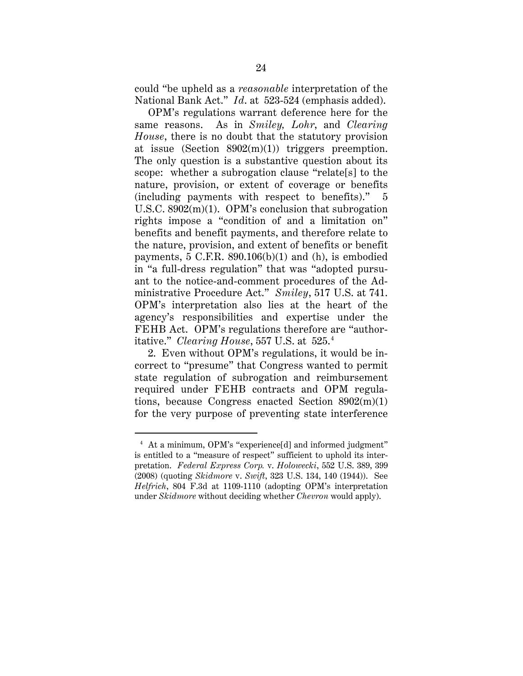could "be upheld as a *reasonable* interpretation of the National Bank Act." *Id*. at 523-524 (emphasis added).

OPM's regulations warrant deference here for the same reasons. As in *Smiley, Lohr*, and *Clearing House*, there is no doubt that the statutory provision at issue (Section 8902(m)(1)) triggers preemption. The only question is a substantive question about its scope: whether a subrogation clause "relate[s] to the nature, provision, or extent of coverage or benefits (including payments with respect to benefits)." 5 U.S.C. 8902(m)(1). OPM's conclusion that subrogation rights impose a "condition of and a limitation on" benefits and benefit payments, and therefore relate to the nature, provision, and extent of benefits or benefit payments, 5 C.F.R. 890.106(b)(1) and (h), is embodied in "a full-dress regulation" that was "adopted pursuant to the notice-and-comment procedures of the Administrative Procedure Act." *Smiley*, 517 U.S. at 741. OPM's interpretation also lies at the heart of the agency's responsibilities and expertise under the FEHB Act. OPM's regulations therefore are "authoritative." *Clearing House*, 557 U.S. at 525. 4

2. Even without OPM's regulations, it would be incorrect to "presume" that Congress wanted to permit state regulation of subrogation and reimbursement required under FEHB contracts and OPM regulations, because Congress enacted Section 8902(m)(1) for the very purpose of preventing state interference

 <sup>4</sup> At a minimum, OPM's "experience[d] and informed judgment" is entitled to a "measure of respect" sufficient to uphold its interpretation. *Federal Express Corp.* v. *Holowecki*, 552 U.S. 389, 399 (2008) (quoting *Skidmore* v. *Swift*, 323 U.S. 134, 140 (1944)). See *Helfrich*, 804 F.3d at 1109-1110 (adopting OPM's interpretation under *Skidmore* without deciding whether *Chevron* would apply).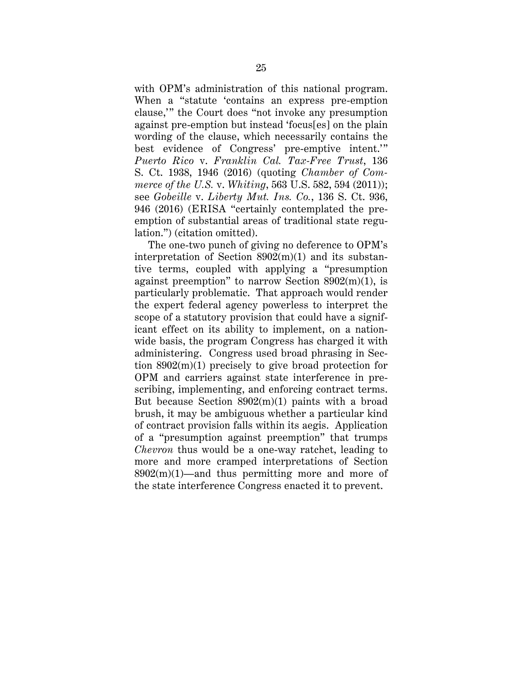with OPM's administration of this national program. When a "statute 'contains an express pre-emption clause,'" the Court does "not invoke any presumption against pre-emption but instead 'focus[es] on the plain wording of the clause, which necessarily contains the best evidence of Congress' pre-emptive intent.'" *Puerto Rico* v. *Franklin Cal. Tax-Free Trust*, 136 S. Ct. 1938, 1946 (2016) (quoting *Chamber of Commerce of the U.S.* v. *Whiting*, 563 U.S. 582, 594 (2011)); see *Gobeille* v. *Liberty Mut. Ins. Co.*, 136 S. Ct. 936, 946 (2016) (ERISA "certainly contemplated the preemption of substantial areas of traditional state regulation.") (citation omitted).

The one-two punch of giving no deference to OPM's interpretation of Section 8902(m)(1) and its substantive terms, coupled with applying a "presumption against preemption" to narrow Section  $8902(m)(1)$ , is particularly problematic. That approach would render the expert federal agency powerless to interpret the scope of a statutory provision that could have a significant effect on its ability to implement, on a nationwide basis, the program Congress has charged it with administering. Congress used broad phrasing in Section 8902(m)(1) precisely to give broad protection for OPM and carriers against state interference in prescribing, implementing, and enforcing contract terms. But because Section 8902(m)(1) paints with a broad brush, it may be ambiguous whether a particular kind of contract provision falls within its aegis. Application of a "presumption against preemption" that trumps *Chevron* thus would be a one-way ratchet, leading to more and more cramped interpretations of Section  $8902(m)(1)$ —and thus permitting more and more of the state interference Congress enacted it to prevent.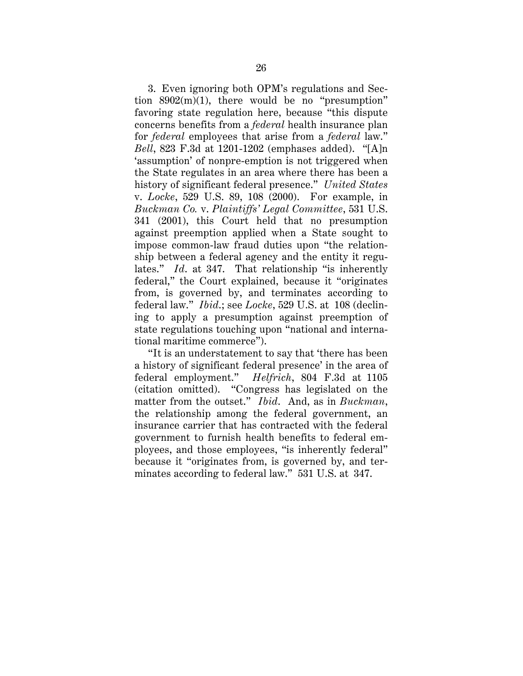3. Even ignoring both OPM's regulations and Section  $8902(m)(1)$ , there would be no "presumption" favoring state regulation here, because "this dispute concerns benefits from a *federal* health insurance plan for *federal* employees that arise from a *federal* law." *Bell*, 823 F.3d at 1201-1202 (emphases added). "[A]n 'assumption' of nonpre-emption is not triggered when the State regulates in an area where there has been a history of significant federal presence." *United States*  v. *Locke*, 529 U.S. 89, 108 (2000). For example, in *Buckman Co.* v. *Plaintiffs' Legal Committee*, 531 U.S. 341 (2001), this Court held that no presumption against preemption applied when a State sought to impose common-law fraud duties upon "the relationship between a federal agency and the entity it regulates." *Id*. at 347. That relationship "is inherently federal," the Court explained, because it "originates from, is governed by, and terminates according to federal law." *Ibid*.; see *Locke*, 529 U.S. at 108 (declining to apply a presumption against preemption of state regulations touching upon "national and international maritime commerce").

"It is an understatement to say that 'there has been a history of significant federal presence' in the area of federal employment." *Helfrich*, 804 F.3d at 1105 (citation omitted). "Congress has legislated on the matter from the outset." *Ibid*. And, as in *Buckman*, the relationship among the federal government, an insurance carrier that has contracted with the federal government to furnish health benefits to federal employees, and those employees, "is inherently federal" because it "originates from, is governed by, and terminates according to federal law." 531 U.S. at 347.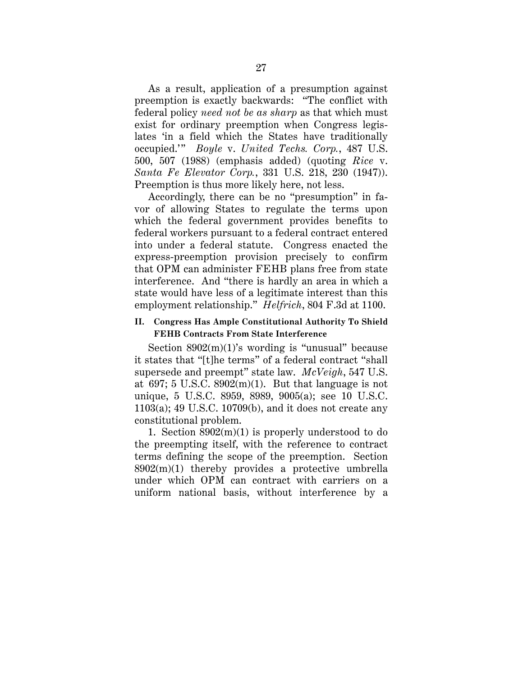As a result, application of a presumption against preemption is exactly backwards: "The conflict with federal policy *need not be as sharp* as that which must exist for ordinary preemption when Congress legislates 'in a field which the States have traditionally occupied.'" *Boyle* v. *United Techs. Corp.*, 487 U.S. 500, 507 (1988) (emphasis added) (quoting *Rice* v. *Santa Fe Elevator Corp.*, 331 U.S. 218, 230 (1947)). Preemption is thus more likely here, not less.

Accordingly, there can be no "presumption" in favor of allowing States to regulate the terms upon which the federal government provides benefits to federal workers pursuant to a federal contract entered into under a federal statute. Congress enacted the express-preemption provision precisely to confirm that OPM can administer FEHB plans free from state interference. And "there is hardly an area in which a state would have less of a legitimate interest than this employment relationship." *Helfrich*, 804 F.3d at 1100.

## **II. Congress Has Ample Constitutional Authority To Shield FEHB Contracts From State Interference**

Section  $8902(m)(1)$ 's wording is "unusual" because it states that "[t]he terms" of a federal contract "shall supersede and preempt" state law. *McVeigh*, 547 U.S. at 697; 5 U.S.C.  $8902(m)(1)$ . But that language is not unique, 5 U.S.C. 8959, 8989, 9005(a); see 10 U.S.C. 1103(a); 49 U.S.C. 10709(b), and it does not create any constitutional problem.

1. Section 8902(m)(1) is properly understood to do the preempting itself, with the reference to contract terms defining the scope of the preemption. Section 8902(m)(1) thereby provides a protective umbrella under which OPM can contract with carriers on a uniform national basis, without interference by a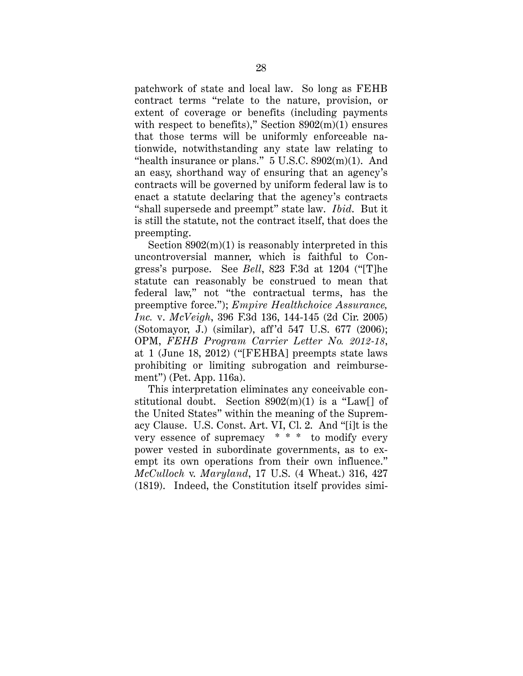patchwork of state and local law. So long as FEHB contract terms "relate to the nature, provision, or extent of coverage or benefits (including payments with respect to benefits)," Section  $8902(m)(1)$  ensures that those terms will be uniformly enforceable nationwide, notwithstanding any state law relating to "health insurance or plans."  $5 \text{ U.S.C. } 8902 \text{(m)}$ (1). And an easy, shorthand way of ensuring that an agency's contracts will be governed by uniform federal law is to enact a statute declaring that the agency's contracts "shall supersede and preempt" state law. *Ibid*. But it is still the statute, not the contract itself, that does the preempting.

Section 8902(m)(1) is reasonably interpreted in this uncontroversial manner, which is faithful to Congress's purpose. See *Bell*, 823 F.3d at 1204 ("[T]he statute can reasonably be construed to mean that federal law," not "the contractual terms, has the preemptive force."); *Empire Healthchoice Assurance, Inc.* v. *McVeigh*, 396 F.3d 136, 144-145 (2d Cir. 2005) (Sotomayor, J.) (similar), aff 'd 547 U.S. 677 (2006); OPM, *FEHB Program Carrier Letter No. 2012-18*, at 1 (June 18, 2012) ("[FEHBA] preempts state laws prohibiting or limiting subrogation and reimbursement") (Pet. App. 116a).

This interpretation eliminates any conceivable constitutional doubt. Section  $8902(m)(1)$  is a "Law[] of the United States" within the meaning of the Supremacy Clause. U.S. Const. Art. VI, Cl. 2. And "[i]t is the very essence of supremacy \* \* \* to modify every power vested in subordinate governments, as to exempt its own operations from their own influence." *McCulloch* v. *Maryland*, 17 U.S. (4 Wheat.) 316, 427 (1819). Indeed, the Constitution itself provides simi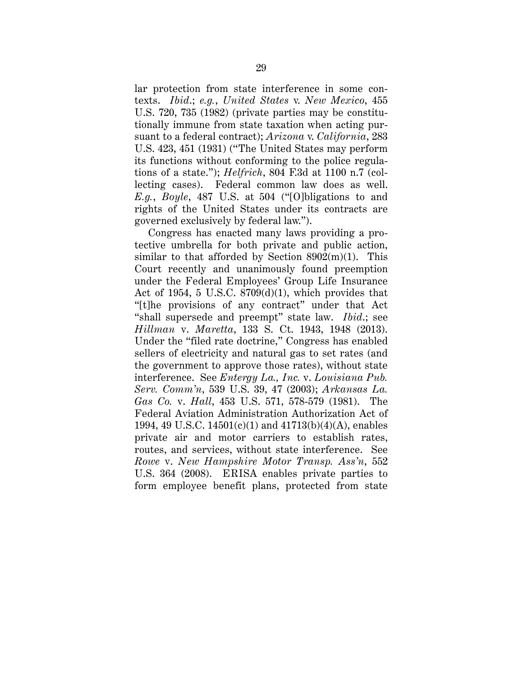lar protection from state interference in some contexts. *Ibid*.; *e.g.*, *United States* v. *New Mexico*, 455 U.S. 720, 735 (1982) (private parties may be constitutionally immune from state taxation when acting pursuant to a federal contract); *Arizona* v. *California*, 283 U.S. 423, 451 (1931) (''The United States may perform its functions without conforming to the police regulations of a state.''); *Helfrich*, 804 F.3d at 1100 n.7 (collecting cases). Federal common law does as well. *E.g.*, *Boyle*, 487 U.S. at 504 ("[O]bligations to and rights of the United States under its contracts are governed exclusively by federal law.").

Congress has enacted many laws providing a protective umbrella for both private and public action, similar to that afforded by Section  $8902(m)(1)$ . This Court recently and unanimously found preemption under the Federal Employees' Group Life Insurance Act of 1954, 5 U.S.C. 8709(d)(1), which provides that "[t]he provisions of any contract" under that Act "shall supersede and preempt" state law. *Ibid*.; see *Hillman* v. *Maretta*, 133 S. Ct. 1943, 1948 (2013). Under the "filed rate doctrine," Congress has enabled sellers of electricity and natural gas to set rates (and the government to approve those rates), without state interference. See *Entergy La., Inc.* v. *Louisiana Pub. Serv. Comm'n*, 539 U.S. 39, 47 (2003); *Arkansas La. Gas Co.* v. *Hall*, 453 U.S. 571, 578-579 (1981). The Federal Aviation Administration Authorization Act of 1994, 49 U.S.C. 14501(c)(1) and 41713(b)(4)(A), enables private air and motor carriers to establish rates, routes, and services, without state interference. See *Rowe* v. *New Hampshire Motor Transp. Ass'n*, 552 U.S. 364 (2008). ERISA enables private parties to form employee benefit plans, protected from state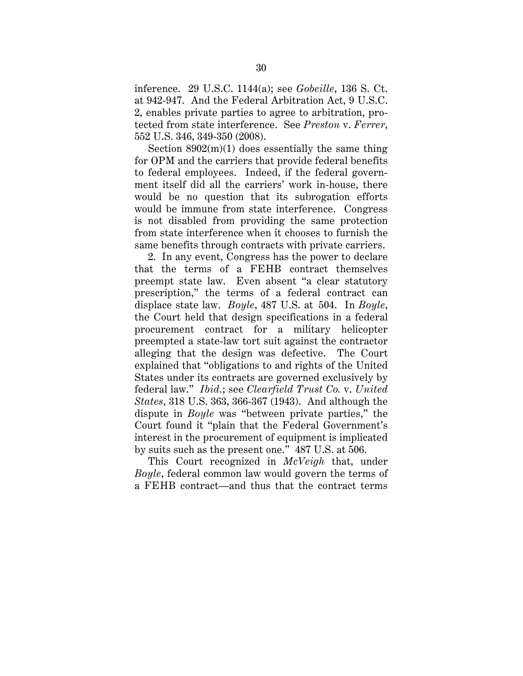inference. 29 U.S.C. 1144(a); see *Gobeille*, 136 S. Ct. at 942-947. And the Federal Arbitration Act, 9 U.S.C. 2, enables private parties to agree to arbitration, protected from state interference. See *Preston* v. *Ferrer*, 552 U.S. 346, 349-350 (2008).

Section  $8902(m)(1)$  does essentially the same thing for OPM and the carriers that provide federal benefits to federal employees. Indeed, if the federal government itself did all the carriers' work in-house, there would be no question that its subrogation efforts would be immune from state interference. Congress is not disabled from providing the same protection from state interference when it chooses to furnish the same benefits through contracts with private carriers.

2. In any event, Congress has the power to declare that the terms of a FEHB contract themselves preempt state law. Even absent "a clear statutory prescription," the terms of a federal contract can displace state law. *Boyle*, 487 U.S. at 504. In *Boyle*, the Court held that design specifications in a federal procurement contract for a military helicopter preempted a state-law tort suit against the contractor alleging that the design was defective. The Court explained that "obligations to and rights of the United States under its contracts are governed exclusively by federal law." *Ibid*.; see *Clearfield Trust Co.* v. *United States*, 318 U.S. 363, 366-367 (1943). And although the dispute in *Boyle* was "between private parties," the Court found it "plain that the Federal Government's interest in the procurement of equipment is implicated by suits such as the present one." 487 U.S. at 506.

This Court recognized in *McVeigh* that, under *Boyle*, federal common law would govern the terms of a FEHB contract—and thus that the contract terms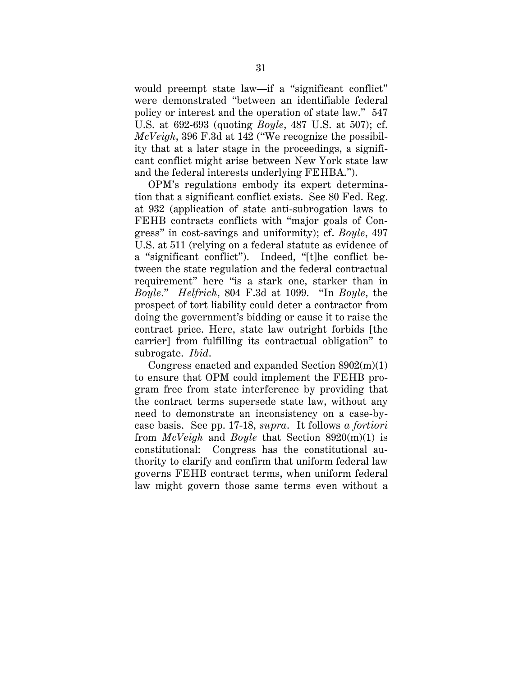would preempt state law—if a "significant conflict" were demonstrated "between an identifiable federal policy or interest and the operation of state law." 547 U.S. at 692-693 (quoting *Boyle*, 487 U.S. at 507); cf. *McVeigh*, 396 F.3d at 142 ("We recognize the possibility that at a later stage in the proceedings, a significant conflict might arise between New York state law and the federal interests underlying FEHBA.").

OPM's regulations embody its expert determination that a significant conflict exists. See 80 Fed. Reg. at 932 (application of state anti-subrogation laws to FEHB contracts conflicts with "major goals of Congress" in cost-savings and uniformity); cf. *Boyle*, 497 U.S. at 511 (relying on a federal statute as evidence of a "significant conflict"). Indeed, "[t]he conflict between the state regulation and the federal contractual requirement" here "is a stark one, starker than in *Boyle*." *Helfrich*, 804 F.3d at 1099. "In *Boyle*, the prospect of tort liability could deter a contractor from doing the government's bidding or cause it to raise the contract price. Here, state law outright forbids [the carrier] from fulfilling its contractual obligation" to subrogate. *Ibid*.

Congress enacted and expanded Section 8902(m)(1) to ensure that OPM could implement the FEHB program free from state interference by providing that the contract terms supersede state law, without any need to demonstrate an inconsistency on a case-bycase basis. See pp. 17-18, *supra*. It follows *a fortiori* from *McVeigh* and *Boyle* that Section 8920(m)(1) is constitutional: Congress has the constitutional authority to clarify and confirm that uniform federal law governs FEHB contract terms, when uniform federal law might govern those same terms even without a